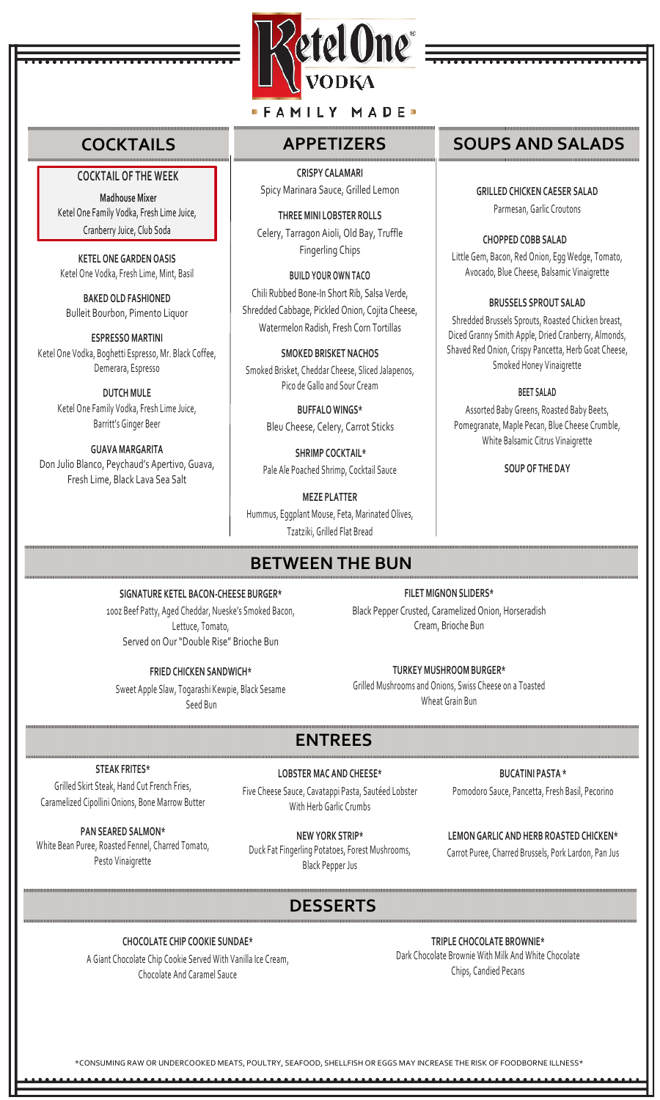

#### **COCKTAIL OF THE WEEK**

**Madhouse Mixer** Ketel One Family Vodka, Fresh Lime Juice, Cranberry Juice, Club Soda

**KETEL ONE GARDEN OASIS** Ketel One Vodka, Fresh Lime, Mint, Basil

**BAKED OLD FASHIONED** Bulleit Bourbon, Pimento Liquor

**ESPRESSO MARTINI** Ketel One Vodka, Boghetti Espresso, Mr. Black Coffee, Demerara, Espresso

> **DUTCH MULE** Ketel One Family Vodka, Fresh Lime Juice, Barritt's Ginger Beer

**GUAVA MARGARITA** Don Julio Blanco, Peychaud's Apertivo, Guava, Fresh Lime, Black Lava Sea Salt



## **MADE**.

**CRISPY CALAMARI** Spicy Marinara Sauce, Grilled Lemon

**THREE MINI LOBSTER ROLLS** Celery, Tarragon Aioli, Old Bay, Truffle Fingerling Chips

**BUILD YOUR OWN TACO** Chili Rubbed Bone-In Short Rib, Salsa Verde, Shredded Cabbage, Pickled Onion, Cojita Cheese, Watermelon Radish, Fresh Corn Tortillas

**SMOKED BRISKET NACHOS** Smoked Brisket, Cheddar Cheese, Sliced Jalapenos, Pico de Gallo and Sour Cream

> **BUFFALO WINGS\*** Bleu Cheese, Celery, Carrot Sticks

**SHRIMP COCKTAIL\*** Pale Ale Poached Shrimp, Cocktail Sauce

**MEZE PLATTER** Hummus, Eggplant Mouse, Feta, Marinated Olives, Tzatziki, Grilled Flat Bread

## **BETWEEN THE BUN**

#### **SIGNATURE KETEL BACON-CHEESE BURGER\***

10oz Beef Patty, Aged Cheddar, Nueske's Smoked Bacon, Lettuce, Tomato, Served on Our "Double Rise" Brioche Bun

**FRIED CHICKEN SANDWICH\***

Sweet Apple Slaw, Togarashi Kewpie, Black Sesame Seed Bun

**EBURGER\***<br>And Salam Salam Salam Salam Salam Salam Salam Salam Salam Salam Salam Salam Salam Salam Salam Salam Salam Sala **FILET MIGNON SLIDERS\*** Black Pepper Crusted, Caramelized Onion, Horseradish Cream, Brioche Bun

> **TURKEY MUSHROOM BURGER\*** Grilled Mushrooms and Onions, Swiss Cheese on a Toasted Wheat Grain Bun

# **ENTREES**

LOBSTER MAC AND CHEESE\*

Five Cheese Sauce, Cavatappi Pasta, Sautéed Lobster

## **STEAK FRITES\***

Grilled Skirt Steak, Hand Cut French Fries, Caramelized Cipollini Onions, Bone Marrow Butter

**PAN SEARED SALMON\*** White Bean Puree, Roasted Fennel, Charred Tomato, Pesto Vinaigrette

With Herb Garlic Crumbs **NEW YORK STRIP\***

Duck Fat Fingerling Potatoes, Forest Mushrooms, Black Pepper Jus

# **DESSERTS**

## **CHOCOLATE CHIP COOKIE SUNDAE\***

A Giant Chocolate Chip Cookie Served With Vanilla Ice Cream, Chocolate And Caramel Sauce

SOURCE **SOUPS AND SALADS TRIPLE CHOCOLATE BROWNIE\*** Dark Chocolate Brownie With Milk And White Chocolate Chips, Candied Pecans

\*CONSUMING RAW OR UNDERCOOKED MEATS, POULTRY, SEAFOOD, SHELLFISH OR EGGS MAY INCREASE THE RISK OF FOODBORNE ILLNESS\*

**GRILLED CHICKEN CAESER SALAD** Parmesan, Garlic Croutons

Little Gem, Bacon, Red Onion, Egg Wedge, Tomato, Avocado, Blue Cheese, Balsamic Vinaigrette

**BRUSSELS SPROUT SALAD** Shredded Brussels Sprouts, Roasted Chicken breast, Diced Granny Smith Apple, Dried Cranberry, Almonds, Shaved Red Onion, Crispy Pancetta, Herb Goat Cheese, Smoked Honey Vinaigrette

**BEET SALAD** Assorted Baby Greens, Roasted Baby Beets, Pomegranate, Maple Pecan, Blue Cheese Crumble, White Balsamic Citrus Vinaigrette

**SOUP OF THE DAY**

**BUCATINI PASTA \*** Pomodoro Sauce, Pancetta, Fresh Basil, Pecorino

**LEMON GARLIC AND HERB ROASTED CHICKEN\*** Carrot Puree, Charred Brussels, Pork Lardon, Pan Jus

**CHOPPED COBB SALAD**